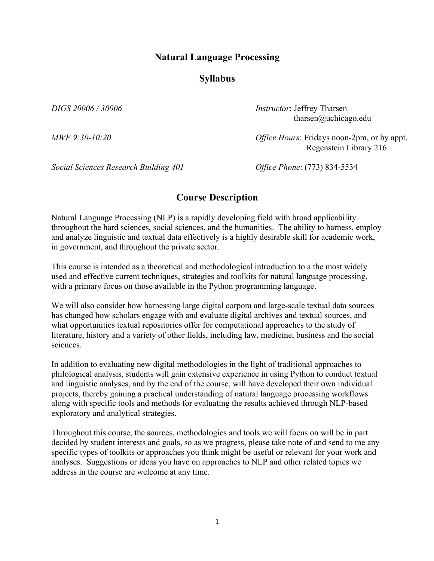### **Natural Language Processing**

### **Syllabus**

*DIGS 20006 / 30006 Instructor*: Jeffrey Tharsen tharsen@uchicago.edu

*MWF 9:30-10:20 Office Hours*: Fridays noon-2pm, or by appt. Regenstein Library 216

*Social Sciences Research Building 401 Office Phone*: (773) 834-5534

### **Course Description**

Natural Language Processing (NLP) is a rapidly developing field with broad applicability throughout the hard sciences, social sciences, and the humanities. The ability to harness, employ and analyze linguistic and textual data effectively is a highly desirable skill for academic work, in government, and throughout the private sector.

This course is intended as a theoretical and methodological introduction to a the most widely used and effective current techniques, strategies and toolkits for natural language processing, with a primary focus on those available in the Python programming language.

We will also consider how harnessing large digital corpora and large-scale textual data sources has changed how scholars engage with and evaluate digital archives and textual sources, and what opportunities textual repositories offer for computational approaches to the study of literature, history and a variety of other fields, including law, medicine, business and the social sciences.

In addition to evaluating new digital methodologies in the light of traditional approaches to philological analysis, students will gain extensive experience in using Python to conduct textual and linguistic analyses, and by the end of the course, will have developed their own individual projects, thereby gaining a practical understanding of natural language processing workflows along with specific tools and methods for evaluating the results achieved through NLP-based exploratory and analytical strategies.

Throughout this course, the sources, methodologies and tools we will focus on will be in part decided by student interests and goals, so as we progress, please take note of and send to me any specific types of toolkits or approaches you think might be useful or relevant for your work and analyses. Suggestions or ideas you have on approaches to NLP and other related topics we address in the course are welcome at any time.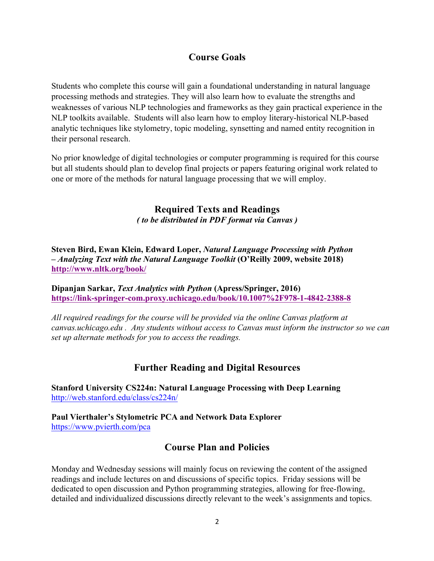# **Course Goals**

Students who complete this course will gain a foundational understanding in natural language processing methods and strategies. They will also learn how to evaluate the strengths and weaknesses of various NLP technologies and frameworks as they gain practical experience in the NLP toolkits available. Students will also learn how to employ literary-historical NLP-based analytic techniques like stylometry, topic modeling, synsetting and named entity recognition in their personal research.

No prior knowledge of digital technologies or computer programming is required for this course but all students should plan to develop final projects or papers featuring original work related to one or more of the methods for natural language processing that we will employ.

## **Required Texts and Readings** *( to be distributed in PDF format via Canvas )*

**Steven Bird, Ewan Klein, Edward Loper,** *Natural Language Processing with Python – Analyzing Text with the Natural Language Toolkit* **(O'Reilly 2009, website 2018) http://www.nltk.org/book/**

**Dipanjan Sarkar,** *Text Analytics with Python* **(Apress/Springer, 2016) https://link-springer-com.proxy.uchicago.edu/book/10.1007%2F978-1-4842-2388-8**

*All required readings for the course will be provided via the online Canvas platform at canvas.uchicago.edu . Any students without access to Canvas must inform the instructor so we can set up alternate methods for you to access the readings.*

## **Further Reading and Digital Resources**

**Stanford University CS224n: Natural Language Processing with Deep Learning** http://web.stanford.edu/class/cs224n/

**Paul Vierthaler's Stylometric PCA and Network Data Explorer** https://www.pvierth.com/pca

# **Course Plan and Policies**

Monday and Wednesday sessions will mainly focus on reviewing the content of the assigned readings and include lectures on and discussions of specific topics. Friday sessions will be dedicated to open discussion and Python programming strategies, allowing for free-flowing, detailed and individualized discussions directly relevant to the week's assignments and topics.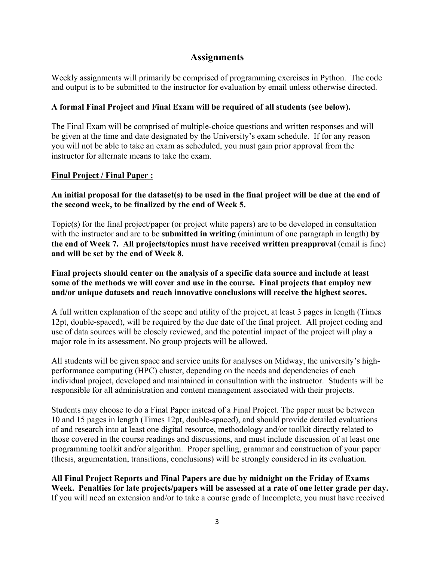## **Assignments**

Weekly assignments will primarily be comprised of programming exercises in Python. The code and output is to be submitted to the instructor for evaluation by email unless otherwise directed.

#### **A formal Final Project and Final Exam will be required of all students (see below).**

The Final Exam will be comprised of multiple-choice questions and written responses and will be given at the time and date designated by the University's exam schedule. If for any reason you will not be able to take an exam as scheduled, you must gain prior approval from the instructor for alternate means to take the exam.

#### **Final Project / Final Paper :**

**An initial proposal for the dataset(s) to be used in the final project will be due at the end of the second week, to be finalized by the end of Week 5.**

Topic(s) for the final project/paper (or project white papers) are to be developed in consultation with the instructor and are to be **submitted in writing** (minimum of one paragraph in length) **by the end of Week 7. All projects/topics must have received written preapproval** (email is fine) **and will be set by the end of Week 8.**

**Final projects should center on the analysis of a specific data source and include at least some of the methods we will cover and use in the course. Final projects that employ new and/or unique datasets and reach innovative conclusions will receive the highest scores.**

A full written explanation of the scope and utility of the project, at least 3 pages in length (Times 12pt, double-spaced), will be required by the due date of the final project. All project coding and use of data sources will be closely reviewed, and the potential impact of the project will play a major role in its assessment. No group projects will be allowed.

All students will be given space and service units for analyses on Midway, the university's highperformance computing (HPC) cluster, depending on the needs and dependencies of each individual project, developed and maintained in consultation with the instructor. Students will be responsible for all administration and content management associated with their projects.

Students may choose to do a Final Paper instead of a Final Project. The paper must be between 10 and 15 pages in length (Times 12pt, double-spaced), and should provide detailed evaluations of and research into at least one digital resource, methodology and/or toolkit directly related to those covered in the course readings and discussions, and must include discussion of at least one programming toolkit and/or algorithm. Proper spelling, grammar and construction of your paper (thesis, argumentation, transitions, conclusions) will be strongly considered in its evaluation.

**All Final Project Reports and Final Papers are due by midnight on the Friday of Exams Week. Penalties for late projects/papers will be assessed at a rate of one letter grade per day.** If you will need an extension and/or to take a course grade of Incomplete, you must have received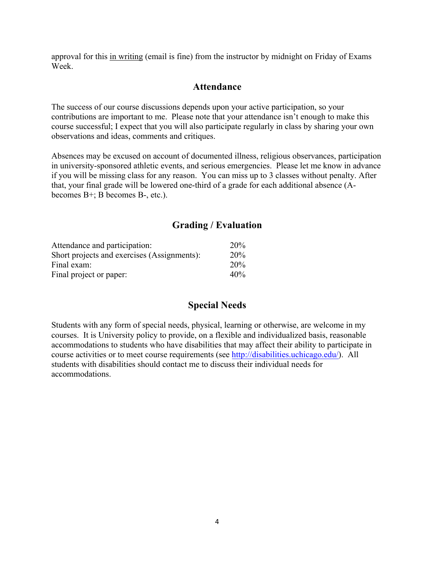approval for this in writing (email is fine) from the instructor by midnight on Friday of Exams Week.

### **Attendance**

The success of our course discussions depends upon your active participation, so your contributions are important to me. Please note that your attendance isn't enough to make this course successful; I expect that you will also participate regularly in class by sharing your own observations and ideas, comments and critiques.

Absences may be excused on account of documented illness, religious observances, participation in university-sponsored athletic events, and serious emergencies. Please let me know in advance if you will be missing class for any reason. You can miss up to 3 classes without penalty. After that, your final grade will be lowered one-third of a grade for each additional absence (Abecomes B+; B becomes B-, etc.).

# **Grading / Evaluation**

| Attendance and participation:               | <b>20%</b>      |
|---------------------------------------------|-----------------|
| Short projects and exercises (Assignments): | <b>20%</b>      |
| Final exam:                                 | 20 <sub>%</sub> |
| Final project or paper:                     | 40%             |

## **Special Needs**

Students with any form of special needs, physical, learning or otherwise, are welcome in my courses. It is University policy to provide, on a flexible and individualized basis, reasonable accommodations to students who have disabilities that may affect their ability to participate in course activities or to meet course requirements (see http://disabilities.uchicago.edu/). All students with disabilities should contact me to discuss their individual needs for accommodations.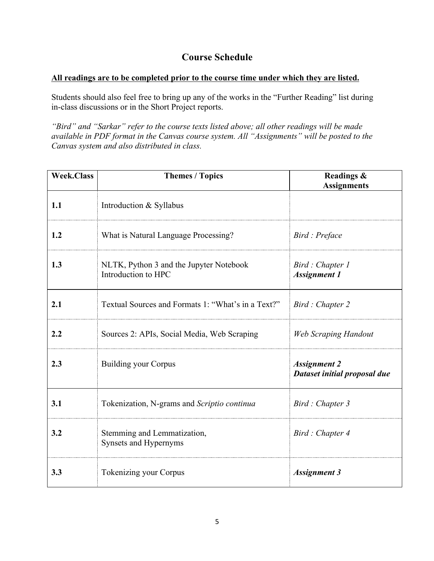# **Course Schedule**

#### **All readings are to be completed prior to the course time under which they are listed.**

Students should also feel free to bring up any of the works in the "Further Reading" list during in-class discussions or in the Short Project reports.

*"Bird" and "Sarkar" refer to the course texts listed above; all other readings will be made available in PDF format in the Canvas course system. All "Assignments" will be posted to the Canvas system and also distributed in class.*

| <b>Week.Class</b> | <b>Themes / Topics</b>                                         | Readings &<br><b>Assignments</b>                    |
|-------------------|----------------------------------------------------------------|-----------------------------------------------------|
| 1.1               | Introduction & Syllabus                                        |                                                     |
| 1.2               | What is Natural Language Processing?                           | Bird : Preface                                      |
| 1.3               | NLTK, Python 3 and the Jupyter Notebook<br>Introduction to HPC | Bird : Chapter 1<br><b>Assignment 1</b>             |
| 2.1               | Textual Sources and Formats 1: "What's in a Text?"             | Bird : Chapter 2                                    |
| 2.2               | Sources 2: APIs, Social Media, Web Scraping                    | <b>Web Scraping Handout</b>                         |
| 2.3               | <b>Building your Corpus</b>                                    | <b>Assignment 2</b><br>Dataset initial proposal due |
| 3.1               | Tokenization, N-grams and Scriptio continua                    | Bird : Chapter 3                                    |
| 3.2               | Stemming and Lemmatization,<br>Synsets and Hypernyms           | Bird : Chapter 4                                    |
| 3.3               | <b>Tokenizing your Corpus</b>                                  | <b>Assignment 3</b>                                 |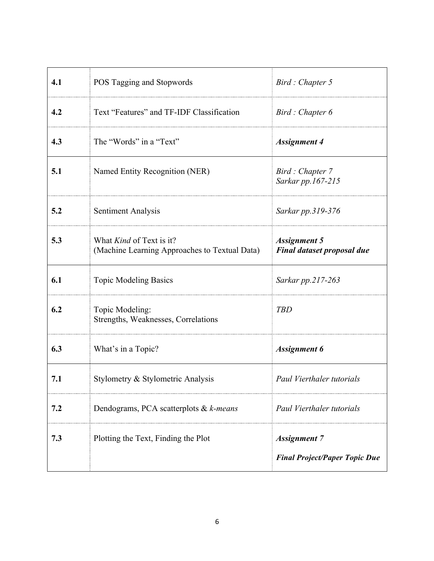| 4.1 | POS Tagging and Stopwords                                                        | Bird: Chapter 5                                             |
|-----|----------------------------------------------------------------------------------|-------------------------------------------------------------|
| 4.2 | Text "Features" and TF-IDF Classification                                        | Bird: Chapter 6                                             |
| 4.3 | The "Words" in a "Text"                                                          | <b>Assignment 4</b>                                         |
| 5.1 | Named Entity Recognition (NER)                                                   | Bird: Chapter 7<br>Sarkar pp.167-215                        |
| 5.2 | <b>Sentiment Analysis</b>                                                        | Sarkar pp.319-376                                           |
| 5.3 | What <i>Kind</i> of Text is it?<br>(Machine Learning Approaches to Textual Data) | <b>Assignment 5</b><br><b>Final dataset proposal due</b>    |
| 6.1 | <b>Topic Modeling Basics</b>                                                     | Sarkar pp.217-263                                           |
| 6.2 | Topic Modeling:<br>Strengths, Weaknesses, Correlations                           | <b>TBD</b>                                                  |
| 6.3 | What's in a Topic?                                                               | <b>Assignment 6</b>                                         |
| 7.1 | Stylometry & Stylometric Analysis                                                | Paul Vierthaler tutorials                                   |
| 7.2 | Dendograms, PCA scatterplots & k-means                                           | Paul Vierthaler tutorials                                   |
| 7.3 | Plotting the Text, Finding the Plot                                              | <b>Assignment 7</b><br><b>Final Project/Paper Topic Due</b> |